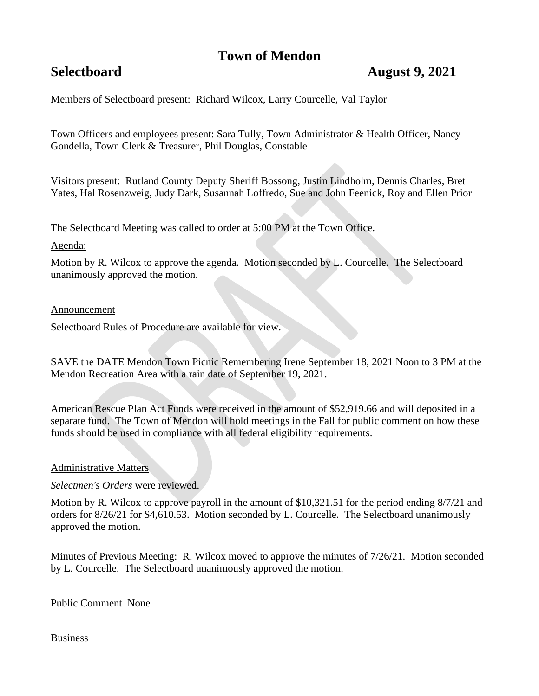# **Town of Mendon**

## **Selectboard August 9, 2021**

Members of Selectboard present: Richard Wilcox, Larry Courcelle, Val Taylor

Town Officers and employees present: Sara Tully, Town Administrator & Health Officer, Nancy Gondella, Town Clerk & Treasurer, Phil Douglas, Constable

Visitors present: Rutland County Deputy Sheriff Bossong, Justin Lindholm, Dennis Charles, Bret Yates, Hal Rosenzweig, Judy Dark, Susannah Loffredo, Sue and John Feenick, Roy and Ellen Prior

The Selectboard Meeting was called to order at 5:00 PM at the Town Office.

#### Agenda:

Motion by R. Wilcox to approve the agenda. Motion seconded by L. Courcelle. The Selectboard unanimously approved the motion.

### Announcement

Selectboard Rules of Procedure are available for view.

SAVE the DATE Mendon Town Picnic Remembering Irene September 18, 2021 Noon to 3 PM at the Mendon Recreation Area with a rain date of September 19, 2021.

American Rescue Plan Act Funds were received in the amount of \$52,919.66 and will deposited in a separate fund. The Town of Mendon will hold meetings in the Fall for public comment on how these funds should be used in compliance with all federal eligibility requirements.

### Administrative Matters

### *Selectmen's Orders* were reviewed.

Motion by R. Wilcox to approve payroll in the amount of \$10,321.51 for the period ending 8/7/21 and orders for 8/26/21 for \$4,610.53. Motion seconded by L. Courcelle. The Selectboard unanimously approved the motion.

Minutes of Previous Meeting: R. Wilcox moved to approve the minutes of 7/26/21. Motion seconded by L. Courcelle. The Selectboard unanimously approved the motion.

Public Comment None

### Business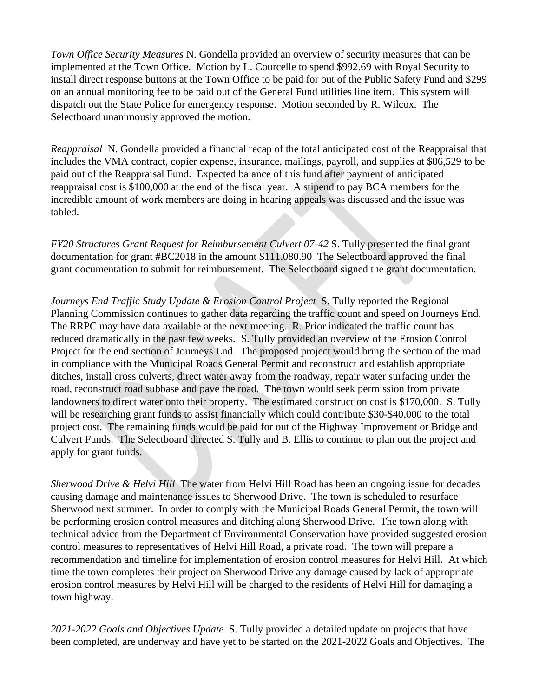*Town Office Security Measures* N. Gondella provided an overview of security measures that can be implemented at the Town Office. Motion by L. Courcelle to spend \$992.69 with Royal Security to install direct response buttons at the Town Office to be paid for out of the Public Safety Fund and \$299 on an annual monitoring fee to be paid out of the General Fund utilities line item. This system will dispatch out the State Police for emergency response. Motion seconded by R. Wilcox. The Selectboard unanimously approved the motion.

*Reappraisal* N. Gondella provided a financial recap of the total anticipated cost of the Reappraisal that includes the VMA contract, copier expense, insurance, mailings, payroll, and supplies at \$86,529 to be paid out of the Reappraisal Fund. Expected balance of this fund after payment of anticipated reappraisal cost is \$100,000 at the end of the fiscal year. A stipend to pay BCA members for the incredible amount of work members are doing in hearing appeals was discussed and the issue was tabled.

*FY20 Structures Grant Request for Reimbursement Culvert 07-42* S. Tully presented the final grant documentation for grant #BC2018 in the amount \$111,080.90 The Selectboard approved the final grant documentation to submit for reimbursement. The Selectboard signed the grant documentation.

*Journeys End Traffic Study Update & Erosion Control Project* S. Tully reported the Regional Planning Commission continues to gather data regarding the traffic count and speed on Journeys End. The RRPC may have data available at the next meeting. R. Prior indicated the traffic count has reduced dramatically in the past few weeks. S. Tully provided an overview of the Erosion Control Project for the end section of Journeys End. The proposed project would bring the section of the road in compliance with the Municipal Roads General Permit and reconstruct and establish appropriate ditches, install cross culverts, direct water away from the roadway, repair water surfacing under the road, reconstruct road subbase and pave the road. The town would seek permission from private landowners to direct water onto their property. The estimated construction cost is \$170,000. S. Tully will be researching grant funds to assist financially which could contribute \$30-\$40,000 to the total project cost. The remaining funds would be paid for out of the Highway Improvement or Bridge and Culvert Funds. The Selectboard directed S. Tully and B. Ellis to continue to plan out the project and apply for grant funds.

*Sherwood Drive & Helvi Hill* The water from Helvi Hill Road has been an ongoing issue for decades causing damage and maintenance issues to Sherwood Drive. The town is scheduled to resurface Sherwood next summer. In order to comply with the Municipal Roads General Permit, the town will be performing erosion control measures and ditching along Sherwood Drive. The town along with technical advice from the Department of Environmental Conservation have provided suggested erosion control measures to representatives of Helvi Hill Road, a private road. The town will prepare a recommendation and timeline for implementation of erosion control measures for Helvi Hill. At which time the town completes their project on Sherwood Drive any damage caused by lack of appropriate erosion control measures by Helvi Hill will be charged to the residents of Helvi Hill for damaging a town highway.

*2021-2022 Goals and Objectives Update* S. Tully provided a detailed update on projects that have been completed, are underway and have yet to be started on the 2021-2022 Goals and Objectives. The